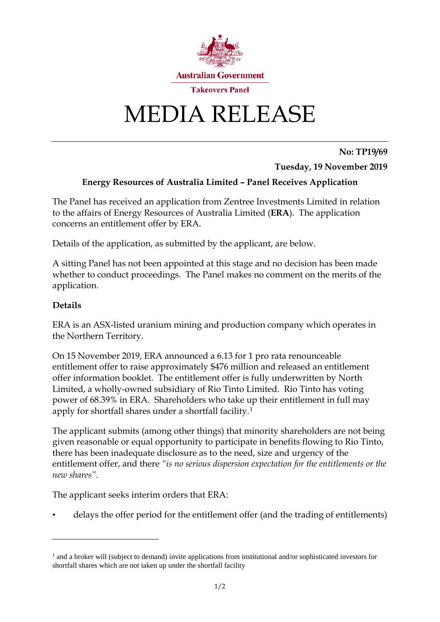

## MEDIA RELEASE

**No: TP19/69**

**Tuesday, 19 November 2019**

## **Energy Resources of Australia Limited – Panel Receives Application**

The Panel has received an application from Zentree Investments Limited in relation to the affairs of Energy Resources of Australia Limited (**ERA**). The application concerns an entitlement offer by ERA.

Details of the application, as submitted by the applicant, are below.

A sitting Panel has not been appointed at this stage and no decision has been made whether to conduct proceedings. The Panel makes no comment on the merits of the application.

## **Details**

<u>.</u>

ERA is an ASX-listed uranium mining and production company which operates in the Northern Territory.

On 15 November 2019, ERA announced a 6.13 for 1 pro rata renounceable entitlement offer to raise approximately \$476 million and released an entitlement offer information booklet. The entitlement offer is fully underwritten by North Limited, a wholly-owned subsidiary of Rio Tinto Limited. Rio Tinto has voting power of 68.39% in ERA. Shareholders who take up their entitlement in full may apply for shortfall shares under a shortfall facility.[1](#page-0-0)

The applicant submits (among other things) that minority shareholders are not being given reasonable or equal opportunity to participate in benefits flowing to Rio Tinto, there has been inadequate disclosure as to the need, size and urgency of the entitlement offer, and there *"is no serious dispersion expectation for the entitlements or the new shares"*.

The applicant seeks interim orders that ERA:

• delays the offer period for the entitlement offer (and the trading of entitlements)

<span id="page-0-0"></span><sup>&</sup>lt;sup>1</sup> and a broker will (subject to demand) invite applications from institutional and/or sophisticated investors for shortfall shares which are not taken up under the shortfall facility